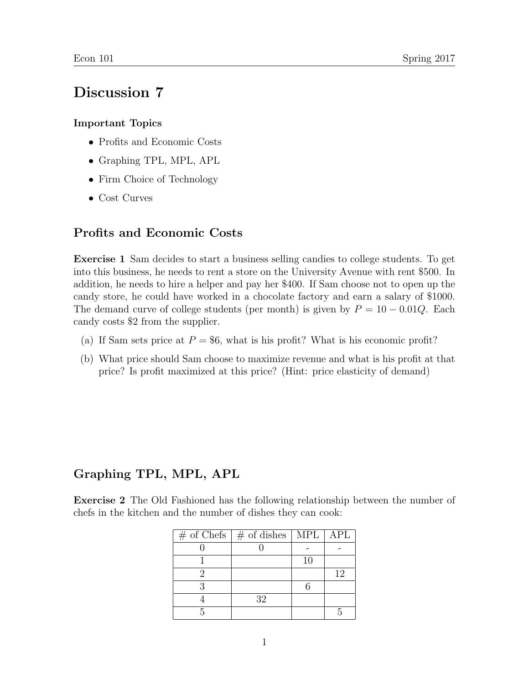# Discussion 7

#### Important Topics

- Profits and Economic Costs
- Graphing TPL, MPL, APL
- Firm Choice of Technology
- Cost Curves

### Profits and Economic Costs

Exercise 1 Sam decides to start a business selling candies to college students. To get into this business, he needs to rent a store on the University Avenue with rent \$500. In addition, he needs to hire a helper and pay her \$400. If Sam choose not to open up the candy store, he could have worked in a chocolate factory and earn a salary of \$1000. The demand curve of college students (per month) is given by  $P = 10 - 0.01Q$ . Each candy costs \$2 from the supplier.

- (a) If Sam sets price at  $P = $6$ , what is his profit? What is his economic profit?
- (b) What price should Sam choose to maximize revenue and what is his profit at that price? Is profit maximized at this price? (Hint: price elasticity of demand)

## Graphing TPL, MPL, APL

Exercise 2 The Old Fashioned has the following relationship between the number of chefs in the kitchen and the number of dishes they can cook:

| $\#$ of Chefs $\#$ of dishes $\ $ MPL $\ $ APL |    |    |
|------------------------------------------------|----|----|
|                                                |    |    |
|                                                | 10 |    |
|                                                |    | 12 |
|                                                |    |    |
| 32                                             |    |    |
|                                                |    |    |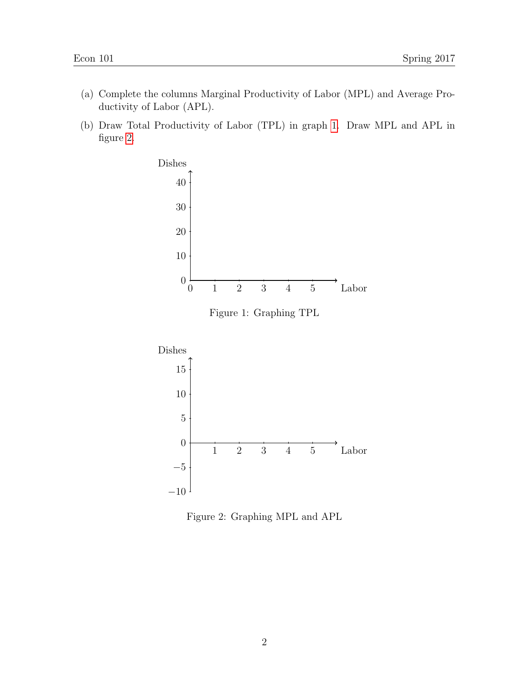- (a) Complete the columns Marginal Productivity of Labor (MPL) and Average Productivity of Labor (APL).
- (b) Draw Total Productivity of Labor (TPL) in graph [1.](#page-1-0) Draw MPL and APL in figure [2.](#page-1-1)



<span id="page-1-0"></span>Figure 1: Graphing TPL



<span id="page-1-1"></span>Figure 2: Graphing MPL and APL